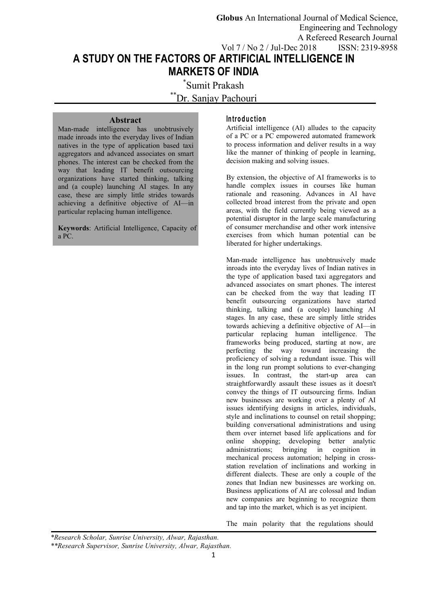**Globus** An International Journal of Medical Science, Engineering and Technology A Refereed Research Journal Vol 7 / No 2 / Jul-Dec 2018 ISSN: 2319-8958

**A STUDY ON THE FACTORS OF ARTIFICIAL INTELLIGENCE IN MARKETS OF INDIA**

> \*Sumit Prakash \*\*Dr. Sanjay Pachouri

# **Abstract**

Man-made intelligence has unobtrusively made inroads into the everyday lives of Indian natives in the type of application based taxi aggregators and advanced associates on smart phones. The interest can be checked from the way that leading IT benefit outsourcing organizations have started thinking, talking and (a couple) launching AI stages. In any case, these are simply little strides towards achieving a definitive objective of AI—in particular replacing human intelligence.

**Keywords**: Artificial Intelligence, Capacity of a PC.

#### **In tro d u c tio n**

Artificial intelligence (AI) alludes to the capacity of a PC or a PC empowered automated framework to process information and deliver results in a way like the manner of thinking of people in learning, decision making and solving issues.

By extension, the objective of AI frameworks is to handle complex issues in courses like human rationale and reasoning. Advances in AI have collected broad interest from the private and open areas, with the field currently being viewed as a potential disruptor in the large scale manufacturing of consumer merchandise and other work intensive exercises from which human potential can be liberated for higher undertakings.

Man-made intelligence has unobtrusively made inroads into the everyday lives of Indian natives in the type of application based taxi aggregators and advanced associates on smart phones. The interest can be checked from the way that leading IT benefit outsourcing organizations have started thinking, talking and (a couple) launching AI stages. In any case, these are simply little strides towards achieving a definitive objective of AI—in particular replacing human intelligence. The frameworks being produced, starting at now, are perfecting the way toward increasing the proficiency of solving a redundant issue. This will in the long run prompt solutions to ever-changing issues. In contrast, the start-up area can straightforwardly assault these issues as it doesn't convey the things of IT outsourcing firms. Indian new businesses are working over a plenty of AI issues identifying designs in articles, individuals, style and inclinations to counsel on retail shopping; building conversational administrations and using them over internet based life applications and for online shopping; developing better analytic administrations; bringing in cognition in mechanical process automation; helping in cross station revelation of inclinations and working in different dialects. These are only a couple of the zones that Indian new businesses are working on. Business applications of AI are colossal and Indian new companies are beginning to recognize them and tap into the market, which is as yet incipient.

The main polarity that the regulations should

*<sup>\*</sup>Research Scholar, Sunrise University, Alwar, Rajasthan.*

*<sup>\*\*</sup>Research Supervisor, Sunrise University, Alwar, Rajasthan.*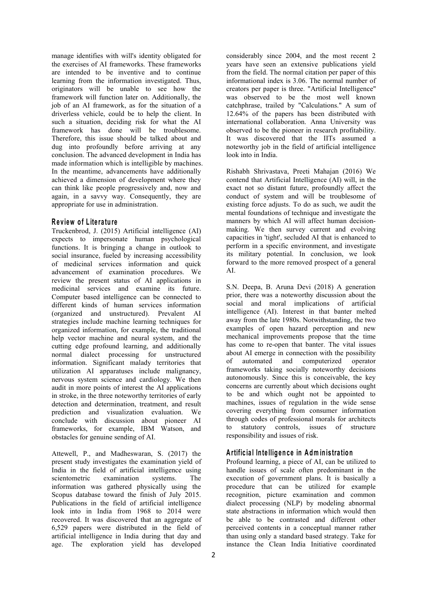manage identifies with will's identity obligated for the exercises of AI frameworks. These frameworks are intended to be inventive and to continue learning from the information investigated. Thus, originators will be unable to see how the framework will function later on. Additionally, the job of an AI framework, as for the situation of a driverless vehicle, could be to help the client. In such a situation, deciding risk for what the AI framework has done will be troublesome. Therefore, this issue should be talked about and dug into profoundly before arriving at any conclusion. The advanced development in India has made information which is intelligible by machines. In the meantime, advancements have additionally achieved a dimension of development where they can think like people progressively and, now and again, in a savvy way. Consequently, they are appropriate for use in administration.

### **R e v iew o f L ite ra tu re**

Truckenbrod, J. (2015) Artificial intelligence (AI) expects to impersonate human psychological functions. It is bringing a change in outlook to social insurance, fueled by increasing accessibility of medicinal services information and quick advancement of examination procedures. We review the present status of AI applications in medicinal services and examine its future. Computer based intelligence can be connected to different kinds of human services information (organized and unstructured). Prevalent AI strategies include machine learning techniques for organized information, for example, the traditional help vector machine and neural system, and the cutting edge profound learning, and additionally normal dialect processing for unstructured about information Significant malady territories that of information. Significant malady territories that utilization AI apparatuses include malignancy, nervous system science and cardiology. We then audit in more points of interest the AI applications in stroke, in the three noteworthy territories of early detection and determination, treatment, and result prediction and visualization evaluation. We conclude with discussion about pioneer AI the<br>frameworks for example IBM Wetson and to frameworks, for example, IBM Watson, and

obstacles for genuine sending of AI.<br>Attewell, P., and Madheswaran, S. (2017) the present study investigates the examination yield of India in the field of artificial intelligence using information was gathered physically using the Scopus database toward the finish of July 2015. Publications in the field of artificial intelligence look into in India from 1968 to 2014 were recovered. It was discovered that an aggregate of 6,529 papers were distributed in the field of artificial intelligence in India during that day and age. The exploration yield has developed

considerably since 2004, and the most recent 2 years have seen an extensive publications yield from the field. The normal citation per paper of this informational index is 3.06. The normal number of creators per paper is three."Artificial Intelligence" was observed to be the most well known catchphrase, trailed by "Calculations." A sum of 12.64% of the papers has been distributed with international collaboration. Anna University was observed to be the pioneer in research profitability. It was discovered that the IITs assumed a noteworthy job in the field of artificial intelligence look into in India.

Rishabh Shrivastava, Preeti Mahajan (2016) We contend that Artificial Intelligence (AI) will, in the exact not so distant future, profoundly affect the conduct of system and will be troublesome of existing force adjusts. To do as such, we audit the mental foundations of technique and investigate the manners by which AI will affect human decision making. We then survey current and evolving capacities in 'tight', secluded AI that is enhanced to perform in a specific environment, and investigate its military potential. In conclusion, we look forward to the more removed prospect of a general AI.

S.N. Deepa, B. Aruna Devi (2018) A generation prior, there was a noteworthy discussion about the social and moral implications of artificial intelligence (AI). Interest in that banter melted away from the late 1980s. Notwithstanding, the two examples of open hazard perception and new mechanical improvements propose that the time has come to re-open that banter. The vital issues about AI emerge in connection with the possibility automated and computerized operator frameworks taking socially noteworthy decisions autonomously. Since this is conceivable, the key concerns are currently about which decisions ought to be and which ought not be appointed to machines, issues of regulation in the wide sense covering everything from consumer information through codes of professional morals for architects statutory controls, issues of structure responsibility and issues of risk.

## **A rtific ia l In te llig en c e in A dm in istra tio n**

scientometric examination systems. The execution of government plans. It is basically a Profound learning, a piece of AI, can be utilized to handle issues of scale often predominant in the procedure that can be utilized for example recognition, picture examination and common dialect processing (NLP) by modeling abnormal state abstractions in information which would then be able to be contrasted and different other perceived contents in a conceptual manner rather than using only a standard based strategy. Take for instance the Clean India Initiative coordinated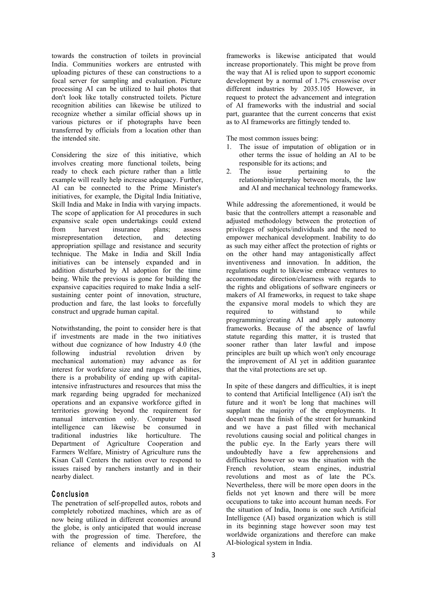towards the construction of toilets in provincial India. Communities workers are entrusted with uploading pictures of these can constructions to a focal server for sampling and evaluation. Picture processing AI can be utilized to hail photos that don't look like totally constructed toilets. Picture recognition abilities can likewise be utilized to recognize whether a similar official shows up in various pictures or if photographs have been transferred by officials from a location other than the intended site.

Considering the size of this initiative, which involves creating more functional toilets, being ready to check each picture rather than a little 2. The example will really help increase adequacy. Further, AI can be connected to the Prime Minister's initiatives, for example, the Digital India Initiative, Skill India and Make in India with varying impacts. The scope of application for AI procedures in such expansive scale open undertakings could extend from harvest insurance plans; assess misrepresentation detection, and detecting appropriation spillage and resistance and security technique. The Make in India and Skill India initiatives can be intensely expanded and in addition disturbed by AI adoption for the time being. While the previous is gone for building the expansive capacities required to make India a self sustaining center point of innovation, structure, production and fare, the last looks to forcefully construct and upgrade human capital.

Notwithstanding, the point to consider here is that if investments are made in the two initiatives without due cognizance of how Industry 4.0 (the following industrial revolution driven by mechanical automation) may advance as for interest for workforce size and ranges of abilities, there is a probability of ending up with capitalintensive infrastructures and resources that miss the mark regarding being upgraded for mechanized operations and an expansive workforce gifted in territories growing beyond the requirement for manual intervention only. Computer based intelligence can likewise be consumed in traditional industries like horticulture. The Department of Agriculture Cooperation and Farmers Welfare, Ministry of Agriculture runs the Kisan Call Centers the nation over to respond to issues raised by ranchers instantly and in their nearby dialect.

### **C o n c lu sio n**

The penetration of self-propelled autos, robots and completely robotized machines, which are as of now being utilized in different economies around the globe, is only anticipated that would increase with the progression of time. Therefore, the reliance of elements and individuals on AI

frameworks is likewise anticipated that would increase proportionately. This might be prove from the way that AI is relied upon to support economic development by a normal of 1.7% crosswise over different industries by 2035.105 However, in request to protect the advancement and integration of AI frameworks with the industrial and social part, guarantee that the current concerns that exist as to AI frameworks are fittingly tended to.

The most common issues being:

- 1. The issue of imputation of obligation or in other terms the issue of holding an AI to be responsible for its actions; and
- issue pertaining to the relationship/interplay between morals, the law and AI and mechanical technology frameworks.

While addressing the aforementioned, it would be basic that the controllers attempt a reasonable and adjusted methodology between the protection of privileges of subjects/individuals and the need to empower mechanical development. Inability to do as such may either affect the protection of rights or on the other hand may antagonistically affect inventiveness and innovation. In addition, the regulations ought to likewise embrace ventures to accommodate direction/clearness with regards to the rights and obligations of software engineers or makers of AI frameworks, in request to take shape the expansive moral models to which they are required to withstand to while programming/creating AI and apply autonomy frameworks. Because of the absence of lawful statute regarding this matter, it is trusted that sooner rather than later lawful and impose principles are built up which won't only encourage the improvement of AI yet in addition guarantee that the vital protections are set up.

In spite of these dangers and difficulties, it is inept to contend that Artificial Intelligence (AI) isn't the future and it won't be long that machines will supplant the majority of the employments. It doesn't mean the finish of the street for humankind and we have a past filled with mechanical revolutions causing social and political changes in the public eye. In the Early years there will undoubtedly have a few apprehensions and difficulties however so was the situation with the French revolution, steam engines, industrial revolutions and most as of late the PCs. Nevertheless, there will be more open doors in the fields not yet known and there will be more occupations to take into account human needs. For the situation of India, Inonu is one such Artificial Intelligence (AI) based organization which is still in its beginning stage however soon may test worldwide organizations and therefore can make AI-biological system in India.